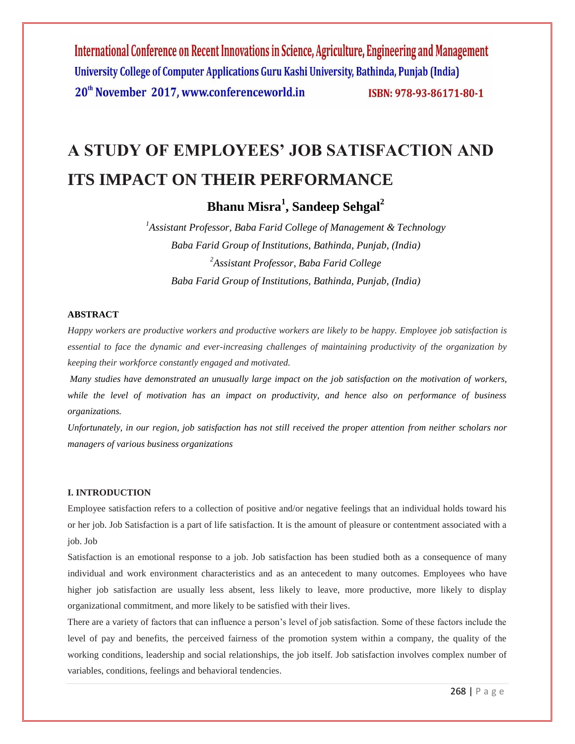# **A STUDY OF EMPLOYEES' JOB SATISFACTION AND ITS IMPACT ON THEIR PERFORMANCE**

**Bhanu Misra<sup>1</sup> , Sandeep Sehgal<sup>2</sup>**

*<sup>1</sup>Assistant Professor, Baba Farid College of Management & Technology Baba Farid Group of Institutions, Bathinda, Punjab, (India) <sup>2</sup>Assistant Professor, Baba Farid College Baba Farid Group of Institutions, Bathinda, Punjab, (India)*

# **ABSTRACT**

*Happy workers are productive workers and productive workers are likely to be happy. Employee job satisfaction is essential to face the dynamic and ever-increasing challenges of maintaining productivity of the organization by keeping their workforce constantly engaged and motivated.*

*Many studies have demonstrated an unusually large impact on the job satisfaction on the motivation of workers, while the level of motivation has an impact on productivity, and hence also on performance of business organizations.*

*Unfortunately, in our region, job satisfaction has not still received the proper attention from neither scholars nor managers of various business organizations*

### **I. INTRODUCTION**

Employee satisfaction refers to a collection of positive and/or negative feelings that an individual holds toward his or her job. Job Satisfaction is a part of life satisfaction. It is the amount of pleasure or contentment associated with a job. Job

Satisfaction is an emotional response to a job. Job satisfaction has been studied both as a consequence of many individual and work environment characteristics and as an antecedent to many outcomes. Employees who have higher job satisfaction are usually less absent, less likely to leave, more productive, more likely to display organizational commitment, and more likely to be satisfied with their lives.

There are a variety of factors that can influence a person's level of job satisfaction. Some of these factors include the level of pay and benefits, the perceived fairness of the promotion system within a company, the quality of the working conditions, leadership and social relationships, the job itself. Job satisfaction involves complex number of variables, conditions, feelings and behavioral tendencies.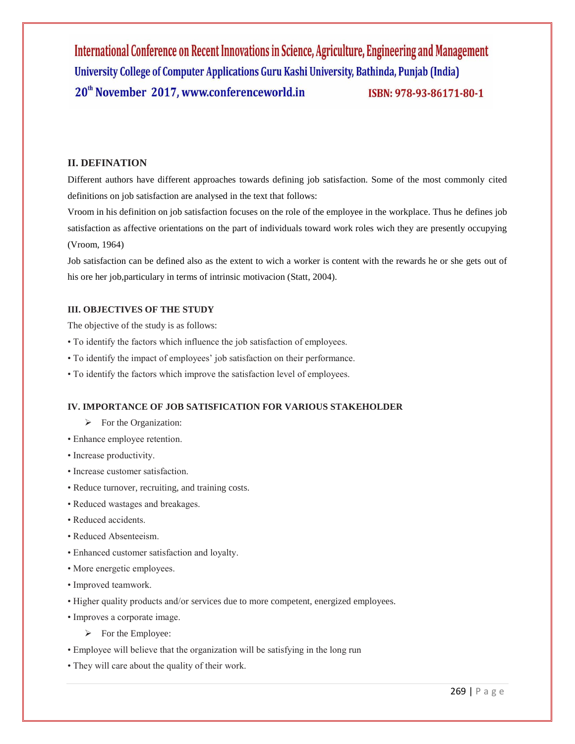# **II. DEFINATION**

Different authors have different approaches towards defining job satisfaction. Some of the most commonly cited definitions on job satisfaction are analysed in the text that follows:

Vroom in his definition on job satisfaction focuses on the role of the employee in the workplace. Thus he defines job satisfaction as affective orientations on the part of individuals toward work roles wich they are presently occupying (Vroom, 1964)

Job satisfaction can be defined also as the extent to wich a worker is content with the rewards he or she gets out of his ore her job,particulary in terms of intrinsic motivacion (Statt, 2004).

### **III. OBJECTIVES OF THE STUDY**

The objective of the study is as follows:

- To identify the factors which influence the job satisfaction of employees.
- To identify the impact of employees' job satisfaction on their performance.
- To identify the factors which improve the satisfaction level of employees.

#### **IV. IMPORTANCE OF JOB SATISFICATION FOR VARIOUS STAKEHOLDER**

- $\triangleright$  For the Organization:
- Enhance employee retention.
- Increase productivity.
- Increase customer satisfaction.
- Reduce turnover, recruiting, and training costs.
- Reduced wastages and breakages.
- Reduced accidents.
- Reduced Absenteeism.
- Enhanced customer satisfaction and loyalty.
- More energetic employees.
- Improved teamwork.
- Higher quality products and/or services due to more competent, energized employees.
- Improves a corporate image.
	- $\triangleright$  For the Employee:
- Employee will believe that the organization will be satisfying in the long run
- They will care about the quality of their work.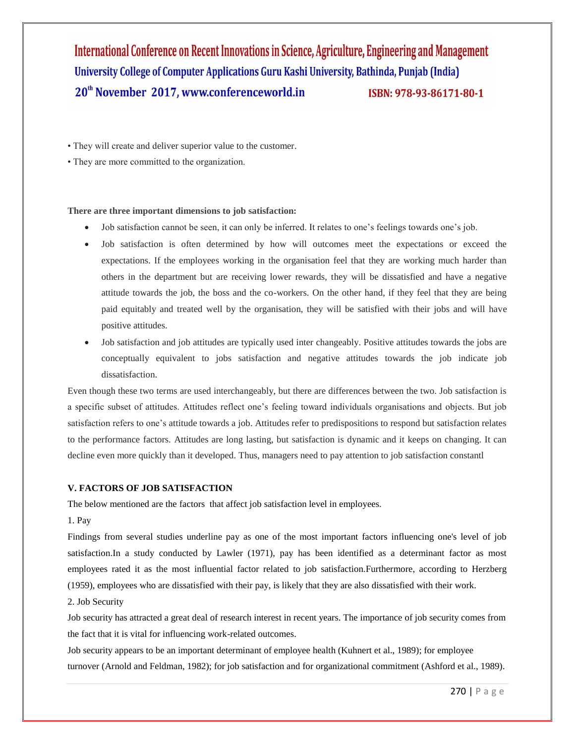- They will create and deliver superior value to the customer.
- They are more committed to the organization.

#### **There are three important dimensions to job satisfaction:**

- Job satisfaction cannot be seen, it can only be inferred. It relates to one's feelings towards one's job.
- Job satisfaction is often determined by how will outcomes meet the expectations or exceed the expectations. If the employees working in the organisation feel that they are working much harder than others in the department but are receiving lower rewards, they will be dissatisfied and have a negative attitude towards the job, the boss and the co-workers. On the other hand, if they feel that they are being paid equitably and treated well by the organisation, they will be satisfied with their jobs and will have positive attitudes.
- Job satisfaction and job attitudes are typically used inter changeably. Positive attitudes towards the jobs are conceptually equivalent to jobs satisfaction and negative attitudes towards the job indicate job dissatisfaction.

Even though these two terms are used interchangeably, but there are differences between the two. Job satisfaction is a specific subset of attitudes. Attitudes reflect one's feeling toward individuals organisations and objects. But job satisfaction refers to one's attitude towards a job. Attitudes refer to predispositions to respond but satisfaction relates to the performance factors. Attitudes are long lasting, but satisfaction is dynamic and it keeps on changing. It can decline even more quickly than it developed. Thus, managers need to pay attention to job satisfaction constantl

#### **V. FACTORS OF JOB SATISFACTION**

The below mentioned are the factors that affect job satisfaction level in employees.

1. Pay

Findings from several studies underline pay as one of the most important factors influencing one's level of job satisfaction.In a study conducted by Lawler (1971), pay has been identified as a determinant factor as most employees rated it as the most influential factor related to job satisfaction.Furthermore, according to Herzberg (1959), employees who are dissatisfied with their pay, is likely that they are also dissatisfied with their work.

2. Job Security

Job security has attracted a great deal of research interest in recent years. The importance of job security comes from the fact that it is vital for influencing work-related outcomes.

Job security appears to be an important determinant of employee health (Kuhnert et al., 1989); for employee turnover (Arnold and Feldman, 1982); for job satisfaction and for organizational commitment (Ashford et al., 1989).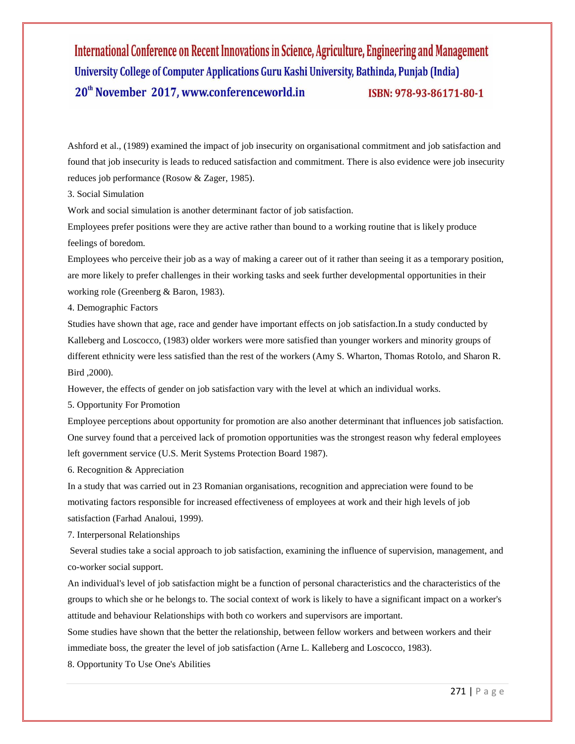Ashford et al., (1989) examined the impact of job insecurity on organisational commitment and job satisfaction and found that job insecurity is leads to reduced satisfaction and commitment. There is also evidence were job insecurity reduces job performance (Rosow & Zager, 1985).

3. Social Simulation

Work and social simulation is another determinant factor of job satisfaction.

Employees prefer positions were they are active rather than bound to a working routine that is likely produce feelings of boredom.

Employees who perceive their job as a way of making a career out of it rather than seeing it as a temporary position, are more likely to prefer challenges in their working tasks and seek further developmental opportunities in their working role (Greenberg & Baron, 1983).

4. Demographic Factors

Studies have shown that age, race and gender have important effects on job satisfaction.In a study conducted by Kalleberg and Loscocco, (1983) older workers were more satisfied than younger workers and minority groups of different ethnicity were less satisfied than the rest of the workers (Amy S. Wharton, Thomas Rotolo, and Sharon R. Bird ,2000).

However, the effects of gender on job satisfaction vary with the level at which an individual works.

5. Opportunity For Promotion

Employee perceptions about opportunity for promotion are also another determinant that influences job satisfaction. One survey found that a perceived lack of promotion opportunities was the strongest reason why federal employees left government service (U.S. Merit Systems Protection Board 1987).

6. Recognition & Appreciation

In a study that was carried out in 23 Romanian organisations, recognition and appreciation were found to be motivating factors responsible for increased effectiveness of employees at work and their high levels of job satisfaction (Farhad Analoui, 1999).

7. Interpersonal Relationships

Several studies take a social approach to job satisfaction, examining the influence of supervision, management, and co-worker social support.

An individual's level of job satisfaction might be a function of personal characteristics and the characteristics of the groups to which she or he belongs to. The social context of work is likely to have a significant impact on a worker's attitude and behaviour Relationships with both co workers and supervisors are important.

Some studies have shown that the better the relationship, between fellow workers and between workers and their immediate boss, the greater the level of job satisfaction (Arne L. Kalleberg and Loscocco, 1983).

8. Opportunity To Use One's Abilities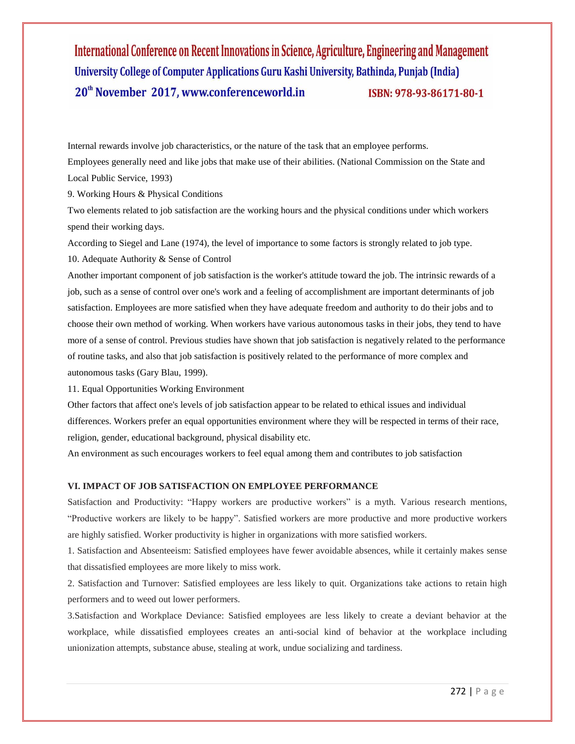Internal rewards involve job characteristics, or the nature of the task that an employee performs.

Employees generally need and like jobs that make use of their abilities. (National Commission on the State and Local Public Service, 1993)

9. Working Hours & Physical Conditions

Two elements related to job satisfaction are the working hours and the physical conditions under which workers spend their working days.

According to Siegel and Lane (1974), the level of importance to some factors is strongly related to job type.

10. Adequate Authority & Sense of Control

Another important component of job satisfaction is the worker's attitude toward the job. The intrinsic rewards of a job, such as a sense of control over one's work and a feeling of accomplishment are important determinants of job satisfaction. Employees are more satisfied when they have adequate freedom and authority to do their jobs and to choose their own method of working. When workers have various autonomous tasks in their jobs, they tend to have more of a sense of control. Previous studies have shown that job satisfaction is negatively related to the performance of routine tasks, and also that job satisfaction is positively related to the performance of more complex and autonomous tasks (Gary Blau, 1999).

11. Equal Opportunities Working Environment

Other factors that affect one's levels of job satisfaction appear to be related to ethical issues and individual differences. Workers prefer an equal opportunities environment where they will be respected in terms of their race, religion, gender, educational background, physical disability etc.

An environment as such encourages workers to feel equal among them and contributes to job satisfaction

### **VI. IMPACT OF JOB SATISFACTION ON EMPLOYEE PERFORMANCE**

Satisfaction and Productivity: "Happy workers are productive workers" is a myth. Various research mentions, "Productive workers are likely to be happy". Satisfied workers are more productive and more productive workers are highly satisfied. Worker productivity is higher in organizations with more satisfied workers.

1. Satisfaction and Absenteeism: Satisfied employees have fewer avoidable absences, while it certainly makes sense that dissatisfied employees are more likely to miss work.

2. Satisfaction and Turnover: Satisfied employees are less likely to quit. Organizations take actions to retain high performers and to weed out lower performers.

3.Satisfaction and Workplace Deviance: Satisfied employees are less likely to create a deviant behavior at the workplace, while dissatisfied employees creates an anti-social kind of behavior at the workplace including unionization attempts, substance abuse, stealing at work, undue socializing and tardiness.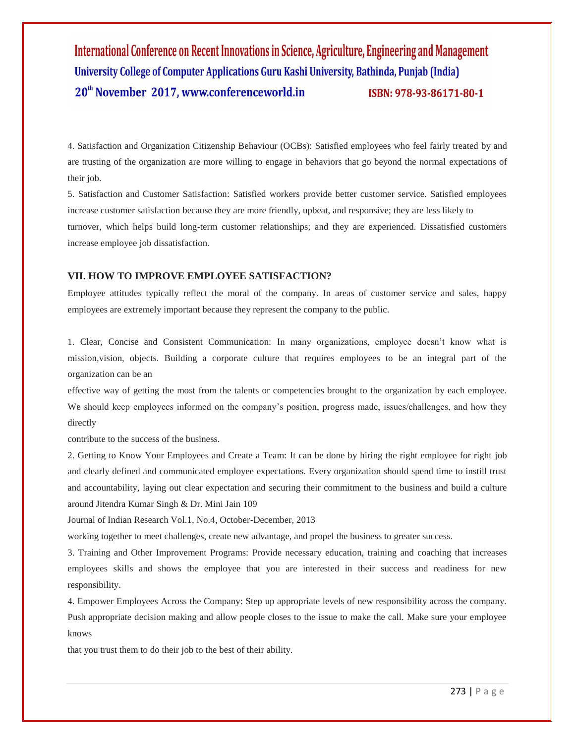4. Satisfaction and Organization Citizenship Behaviour (OCBs): Satisfied employees who feel fairly treated by and are trusting of the organization are more willing to engage in behaviors that go beyond the normal expectations of their job.

5. Satisfaction and Customer Satisfaction: Satisfied workers provide better customer service. Satisfied employees increase customer satisfaction because they are more friendly, upbeat, and responsive; they are less likely to turnover, which helps build long-term customer relationships; and they are experienced. Dissatisfied customers increase employee job dissatisfaction.

# **VII. HOW TO IMPROVE EMPLOYEE SATISFACTION?**

Employee attitudes typically reflect the moral of the company. In areas of customer service and sales, happy employees are extremely important because they represent the company to the public.

1. Clear, Concise and Consistent Communication: In many organizations, employee doesn't know what is mission,vision, objects. Building a corporate culture that requires employees to be an integral part of the organization can be an

effective way of getting the most from the talents or competencies brought to the organization by each employee. We should keep employees informed on the company's position, progress made, issues/challenges, and how they directly

contribute to the success of the business.

2. Getting to Know Your Employees and Create a Team: It can be done by hiring the right employee for right job and clearly defined and communicated employee expectations. Every organization should spend time to instill trust and accountability, laying out clear expectation and securing their commitment to the business and build a culture around Jitendra Kumar Singh & Dr. Mini Jain 109

Journal of Indian Research Vol.1, No.4, October-December, 2013

working together to meet challenges, create new advantage, and propel the business to greater success.

3. Training and Other Improvement Programs: Provide necessary education, training and coaching that increases employees skills and shows the employee that you are interested in their success and readiness for new responsibility.

4. Empower Employees Across the Company: Step up appropriate levels of new responsibility across the company. Push appropriate decision making and allow people closes to the issue to make the call. Make sure your employee knows

that you trust them to do their job to the best of their ability.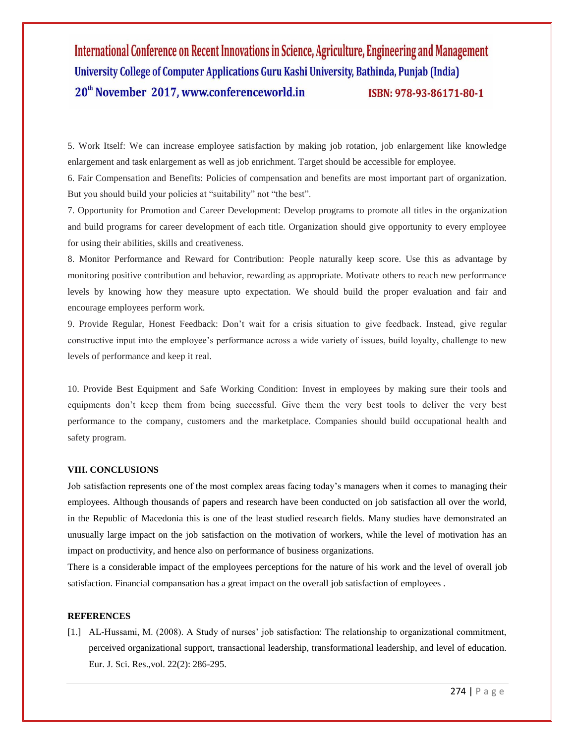5. Work Itself: We can increase employee satisfaction by making job rotation, job enlargement like knowledge enlargement and task enlargement as well as job enrichment. Target should be accessible for employee.

6. Fair Compensation and Benefits: Policies of compensation and benefits are most important part of organization. But you should build your policies at "suitability" not "the best".

7. Opportunity for Promotion and Career Development: Develop programs to promote all titles in the organization and build programs for career development of each title. Organization should give opportunity to every employee for using their abilities, skills and creativeness.

8. Monitor Performance and Reward for Contribution: People naturally keep score. Use this as advantage by monitoring positive contribution and behavior, rewarding as appropriate. Motivate others to reach new performance levels by knowing how they measure upto expectation. We should build the proper evaluation and fair and encourage employees perform work.

9. Provide Regular, Honest Feedback: Don't wait for a crisis situation to give feedback. Instead, give regular constructive input into the employee's performance across a wide variety of issues, build loyalty, challenge to new levels of performance and keep it real.

10. Provide Best Equipment and Safe Working Condition: Invest in employees by making sure their tools and equipments don't keep them from being successful. Give them the very best tools to deliver the very best performance to the company, customers and the marketplace. Companies should build occupational health and safety program.

### **VIII. CONCLUSIONS**

Job satisfaction represents one of the most complex areas facing today's managers when it comes to managing their employees. Although thousands of papers and research have been conducted on job satisfaction all over the world, in the Republic of Macedonia this is one of the least studied research fields. Many studies have demonstrated an unusually large impact on the job satisfaction on the motivation of workers, while the level of motivation has an impact on productivity, and hence also on performance of business organizations.

There is a considerable impact of the employees perceptions for the nature of his work and the level of overall job satisfaction. Financial compansation has a great impact on the overall job satisfaction of employees .

### **REFERENCES**

[1.] AL-Hussami, M. (2008). A Study of nurses' job satisfaction: The relationship to organizational commitment, perceived organizational support, transactional leadership, transformational leadership, and level of education. Eur. J. Sci. Res.,vol. 22(2): 286-295.